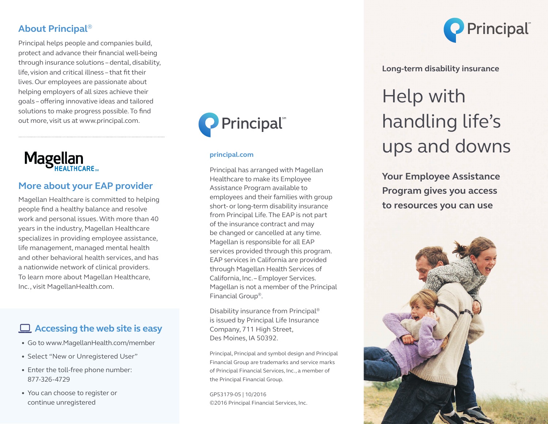### **About Principal**®

Principal helps people and companies build, protect and advance their financial well-being through insurance solutions – dental, disability, life, vision and critical illness – that fit their lives. Our employees are passionate about helping employers of all sizes achieve their goals – offering innovative ideas and tailored solutions to make progress possible. To find out more, visit us at www.principal.com.



### **More about your EAP provider**

Magellan Healthcare is committed to helping people find a healthy balance and resolve work and personal issues. With more than 40 years in the industry, Magellan Healthcare specializes in providing employee assistance, life management, managed mental health and other behavioral health services, and has a nationwide network of clinical providers. To learn more about Magellan Healthcare, Inc., visit MagellanHealth.com.

## **Accessing the web site is easy**

- Go to www.MagellanHealth.com/member
- Select "New or Unregistered User"
- Enter the toll-free phone number: 877-326-4729
- You can choose to register or continue unregistered



### **principal.com**

Principal has arranged with Magellan Healthcare to make its Employee Assistance Program available to employees and their families with group short- or long-term disability insurance from Principal Life. The EAP is not part of the insurance contract and may be changed or cancelled at any time. Magellan is responsible for all EAP services provided through this program. EAP services in California are provided through Magellan Health Services of California, Inc. – Employer Services. Magellan is not a member of the Principal Financial Group®.

Disability insurance from Principal® is issued by Principal Life Insurance Company, 711 High Street, Des Moines, IA 50392.

Principal, Principal and symbol design and Principal Financial Group are trademarks and service marks of Principal Financial Services, Inc., a member of the Principal Financial Group.

GP53179-05 | 10/2016 ©2016 Principal Financial Services, Inc.



**Long-term disability insurance**

# Help with handling life's ups and downs

**Your Employee Assistance Program gives you access to resources you can use**